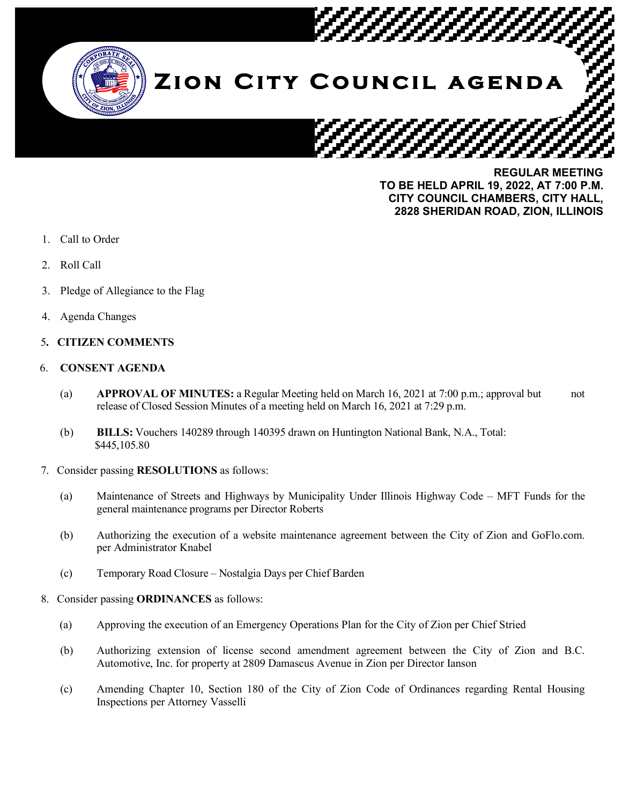

**TO BE HELD APRIL 19, 2022, AT 7:00 P.M. CITY COUNCIL CHAMBERS, CITY HALL, 2828 SHERIDAN ROAD, ZION, ILLINOIS**

- 1. Call to Order
- 2. Roll Call
- 3. Pledge of Allegiance to the Flag
- 4. Agenda Changes

# 5**. CITIZEN COMMENTS**

#### 6. **CONSENT AGENDA**

- (a) **APPROVAL OF MINUTES:** a Regular Meeting held on March 16, 2021 at 7:00 p.m.; approval but not release of Closed Session Minutes of a meeting held on March 16, 2021 at 7:29 p.m.
- (b) **BILLS:** Vouchers 140289 through 140395 drawn on Huntington National Bank, N.A., Total: \$445,105.80
- 7. Consider passing **RESOLUTIONS** as follows:
	- (a) Maintenance of Streets and Highways by Municipality Under Illinois Highway Code MFT Funds for the general maintenance programs per Director Roberts
	- (b) Authorizing the execution of a website maintenance agreement between the City of Zion and GoFlo.com. per Administrator Knabel
	- (c) Temporary Road Closure Nostalgia Days per Chief Barden
- 8. Consider passing **ORDINANCES** as follows:
	- (a) Approving the execution of an Emergency Operations Plan for the City of Zion per Chief Stried
	- (b) Authorizing extension of license second amendment agreement between the City of Zion and B.C. Automotive, Inc. for property at 2809 Damascus Avenue in Zion per Director Ianson
	- (c) Amending Chapter 10, Section 180 of the City of Zion Code of Ordinances regarding Rental Housing Inspections per Attorney Vasselli